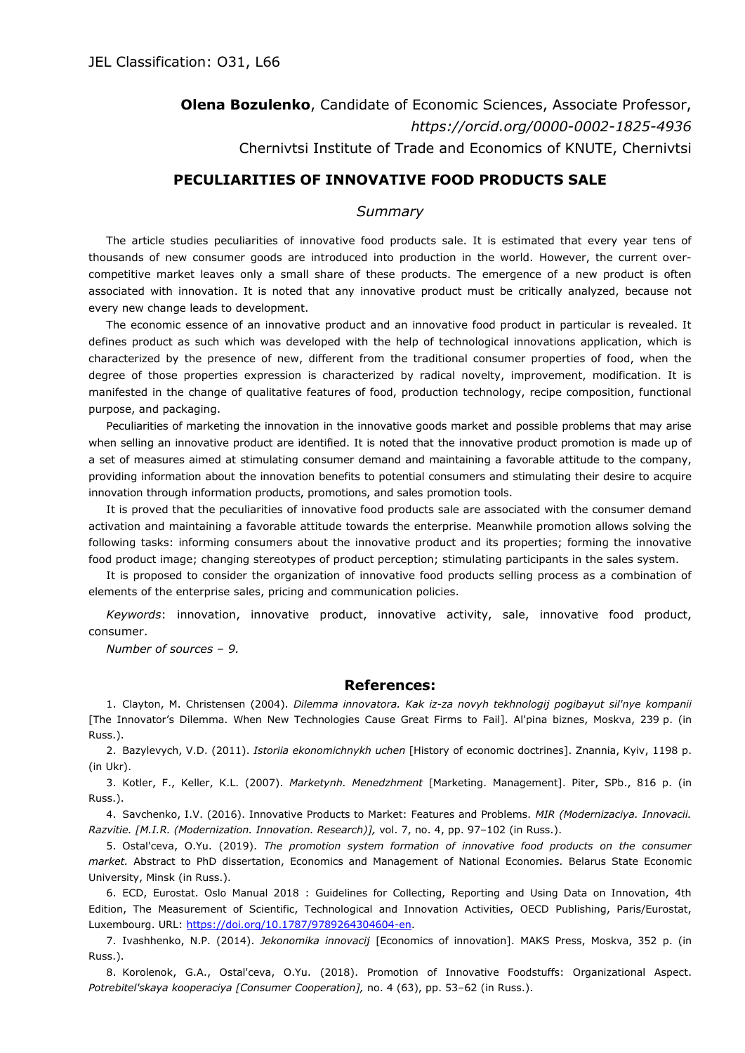**Olena Bozulenko**, Candidate of Economic Sciences, Associate Professor, *<https://orcid.org/0000-0002-1825-4936>* Chernivtsi Institute of Trade and Economics of KNUTE, Chernivtsi

## **PECULIARITIES OF INNOVATIVE FOOD PRODUCTS SALE**

## *Summary*

The article studies peculiarities of innovative food products sale. It is estimated that every year tens of thousands of new consumer goods are introduced into production in the world. However, the current overcompetitive market leaves only a small share of these products. The emergence of a new product is often associated with innovation. It is noted that any innovative product must be critically analyzed, because not every new change leads to development.

The economic essence of an innovative product and an innovative food product in particular is revealed. It defines product as such which was developed with the help of technological innovations application, which is characterized by the presence of new, different from the traditional consumer properties of food, when the degree of those properties expression is characterized by radical novelty, improvement, modification. It is manifested in the change of qualitative features of food, production technology, recipe composition, functional purpose, and packaging.

Peculiarities of marketing the innovation in the innovative goods market and possible problems that may arise when selling an innovative product are identified. It is noted that the innovative product promotion is made up of a set of measures aimed at stimulating consumer demand and maintaining a favorable attitude to the company, providing information about the innovation benefits to potential consumers and stimulating their desire to acquire innovation through information products, promotions, and sales promotion tools.

It is proved that the peculiarities of innovative food products sale are associated with the consumer demand activation and maintaining a favorable attitude towards the enterprise. Meanwhile promotion allows solving the following tasks: informing consumers about the innovative product and its properties; forming the innovative food product image; changing stereotypes of product perception; stimulating participants in the sales system.

It is proposed to consider the organization of innovative food products selling process as a combination of elements of the enterprise sales, pricing and communication policies.

*Keywords*: innovation, innovative product, innovative activity, sale, innovative food product, consumer.

*Number of sources – 9.*

## **References:**

1. Clayton, M. Christensen (2004). *Dilemma innovatora. Kak iz-za novyh tekhnologij pogibayut sil'nye kompanii* [The Innovator's Dilemma. When New Technologies Cause Great Firms to Fail]. Al'pina biznes, Moskva, 239 p. (in Russ.).

2. Bazylevych, V.D. (2011). *Istoriia ekonomichnykh uchen* [History of economic doctrines]. Znannia, Kyiv, 1198 p. (in Ukr).

3. Kotler, F., Keller, K.L. (2007). *Marketynh. Menedzhment* [Marketing. Management]. Piter, SPb., 816 p. (in Russ.).

4. Savchenko, I.V. (2016). Innovative Products to Market: Features and Problems. *MIR (Modernizaciya. Innovacii. Razvitie. [M.I.R. (Modernization. Innovation. Research)],* vol. 7, no. 4, pp. 97–102 (in Russ.).

5. Ostal'ceva, O.Yu. (2019). *The promotion system formation of innovative food products on the consumer market.* Abstract to PhD dissertation, Economics and Management of National Economies. Belarus State Economic University, Minsk (in Russ.).

6. ECD, Eurostat. Oslo Manual 2018 : Guidelines for Collecting, Reporting and Using Data on Innovation, 4th Edition, The Measurement of Scientific, Technological and Innovation Activities, OECD Publishing, Paris/Eurostat, Luxembourg. URL: [https://doi.org/10.1787/9789264304604-en.](https://doi.org/10.1787/9789264304604-en)

7. Ivashhenko, N.P. (2014). *Jekonomika innovacij* [Economics of innovation]. MAKS Press, Moskva, 352 p. (in Russ.).

8. Korolenok, G.A., Ostal'ceva, O.Yu. (2018). Promotion of Innovative Foodstuffs: Organizational Aspect. *Potrebitel'skaya kooperacіya [Consumer Сooperation],* no. 4 (63), pp. 53–62 (in Russ.).